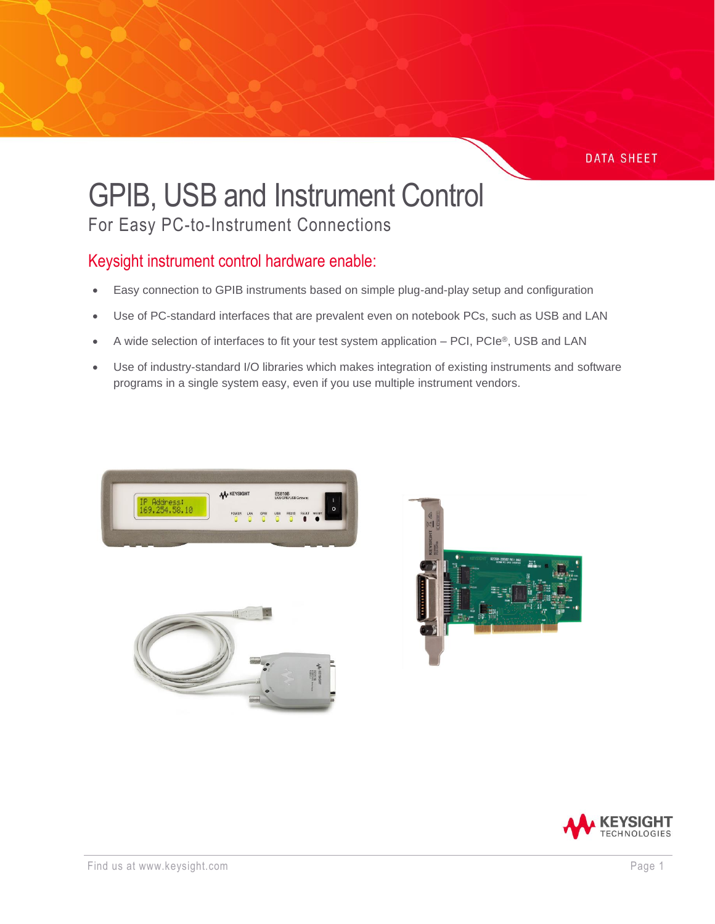#### **DATA SHEET**

# GPIB, USB and Instrument Control

For Easy PC-to-Instrument Connections

### Keysight instrument control hardware enable:

- Easy connection to GPIB instruments based on simple plug-and-play setup and configuration
- Use of PC-standard interfaces that are prevalent even on notebook PCs, such as USB and LAN
- A wide selection of interfaces to fit your test system application PCI, PCIe®, USB and LAN
- Use of industry-standard I/O libraries which makes integration of existing instruments and software programs in a single system easy, even if you use multiple instrument vendors.







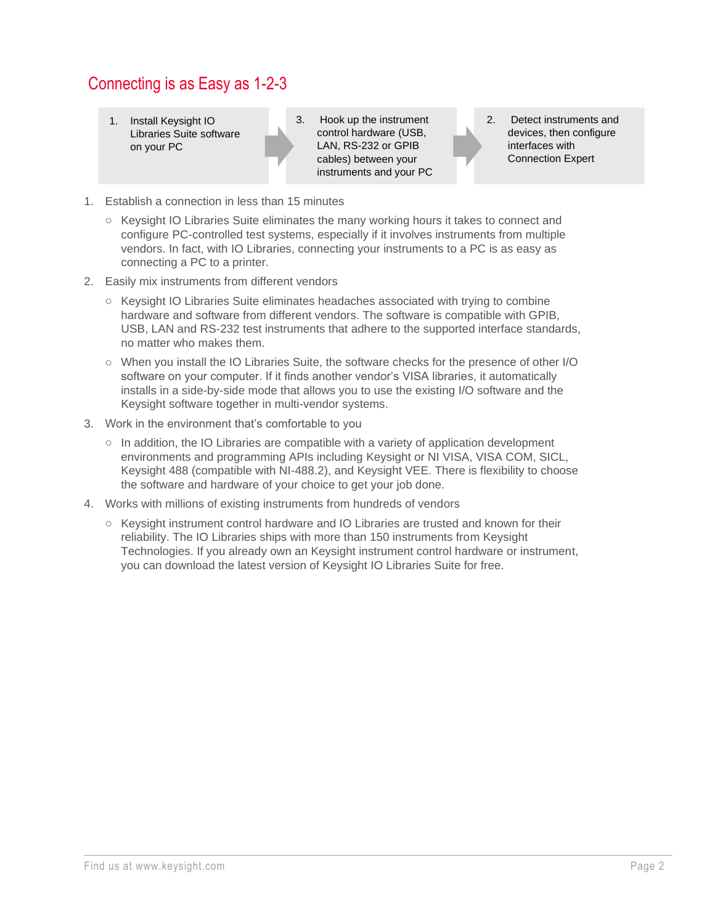### Connecting is as Easy as 1-2-3

1. Install Keysight IO Libraries Suite software on your PC

3. Hook up the instrument control hardware (USB, LAN, RS-232 or GPIB cables) between your instruments and your PC 2. Detect instruments and devices, then configure interfaces with Connection Expert

- 1. Establish a connection in less than 15 minutes
	- o Keysight IO Libraries Suite eliminates the many working hours it takes to connect and configure PC-controlled test systems, especially if it involves instruments from multiple vendors. In fact, with IO Libraries, connecting your instruments to a PC is as easy as connecting a PC to a printer.
- 2. Easily mix instruments from different vendors
	- o Keysight IO Libraries Suite eliminates headaches associated with trying to combine hardware and software from different vendors. The software is compatible with GPIB, USB, LAN and RS-232 test instruments that adhere to the supported interface standards, no matter who makes them.
	- o When you install the IO Libraries Suite, the software checks for the presence of other I/O software on your computer. If it finds another vendor's VISA libraries, it automatically installs in a side-by-side mode that allows you to use the existing I/O software and the Keysight software together in multi-vendor systems.
- 3. Work in the environment that's comfortable to you
	- $\circ$  In addition, the IO Libraries are compatible with a variety of application development environments and programming APIs including Keysight or NI VISA, VISA COM, SICL, Keysight 488 (compatible with NI-488.2), and Keysight VEE. There is flexibility to choose the software and hardware of your choice to get your job done.
- 4. Works with millions of existing instruments from hundreds of vendors
	- o Keysight instrument control hardware and IO Libraries are trusted and known for their reliability. The IO Libraries ships with more than 150 instruments from Keysight Technologies. If you already own an Keysight instrument control hardware or instrument, you can download the latest version of Keysight IO Libraries Suite for free.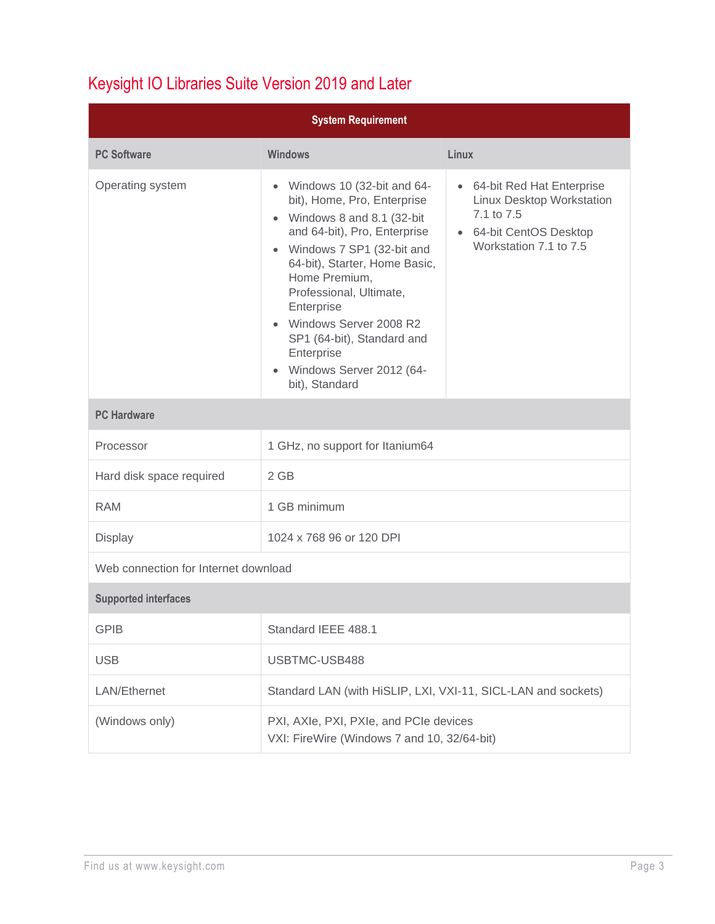## Keysight IO Libraries Suite Version 2019 and Later

| <b>System Requirement</b>            |                                                                                                                                                                                                                                                                                                                                                                                                    |                                                                                                                             |  |  |
|--------------------------------------|----------------------------------------------------------------------------------------------------------------------------------------------------------------------------------------------------------------------------------------------------------------------------------------------------------------------------------------------------------------------------------------------------|-----------------------------------------------------------------------------------------------------------------------------|--|--|
| <b>PC Software</b>                   | <b>Windows</b>                                                                                                                                                                                                                                                                                                                                                                                     | Linux                                                                                                                       |  |  |
| Operating system                     | Windows 10 (32-bit and 64-<br>$\bullet$<br>bit), Home, Pro, Enterprise<br>• Windows 8 and 8.1 (32-bit<br>and 64-bit), Pro, Enterprise<br>• Windows 7 SP1 (32-bit and<br>64-bit), Starter, Home Basic,<br>Home Premium,<br>Professional, Ultimate,<br>Enterprise<br>• Windows Server 2008 R2<br>SP1 (64-bit), Standard and<br>Enterprise<br>Windows Server 2012 (64-<br>$\bullet$<br>bit), Standard | • 64-bit Red Hat Enterprise<br>Linux Desktop Workstation<br>7.1 to 7.5<br>• 64-bit CentOS Desktop<br>Workstation 7.1 to 7.5 |  |  |
| <b>PC Hardware</b>                   |                                                                                                                                                                                                                                                                                                                                                                                                    |                                                                                                                             |  |  |
| Processor                            | 1 GHz, no support for Itanium64                                                                                                                                                                                                                                                                                                                                                                    |                                                                                                                             |  |  |
| Hard disk space required             | 2 GB                                                                                                                                                                                                                                                                                                                                                                                               |                                                                                                                             |  |  |
| <b>RAM</b>                           | 1 GB minimum                                                                                                                                                                                                                                                                                                                                                                                       |                                                                                                                             |  |  |
| <b>Display</b>                       | 1024 x 768 96 or 120 DPI                                                                                                                                                                                                                                                                                                                                                                           |                                                                                                                             |  |  |
| Web connection for Internet download |                                                                                                                                                                                                                                                                                                                                                                                                    |                                                                                                                             |  |  |
| <b>Supported interfaces</b>          |                                                                                                                                                                                                                                                                                                                                                                                                    |                                                                                                                             |  |  |
| <b>GPIB</b>                          | Standard IEEE 488.1                                                                                                                                                                                                                                                                                                                                                                                |                                                                                                                             |  |  |
| <b>USB</b>                           | USBTMC-USB488                                                                                                                                                                                                                                                                                                                                                                                      |                                                                                                                             |  |  |
| LAN/Ethernet                         | Standard LAN (with HiSLIP, LXI, VXI-11, SICL-LAN and sockets)                                                                                                                                                                                                                                                                                                                                      |                                                                                                                             |  |  |
| (Windows only)                       | PXI, AXIe, PXI, PXIe, and PCIe devices<br>VXI: FireWire (Windows 7 and 10, 32/64-bit)                                                                                                                                                                                                                                                                                                              |                                                                                                                             |  |  |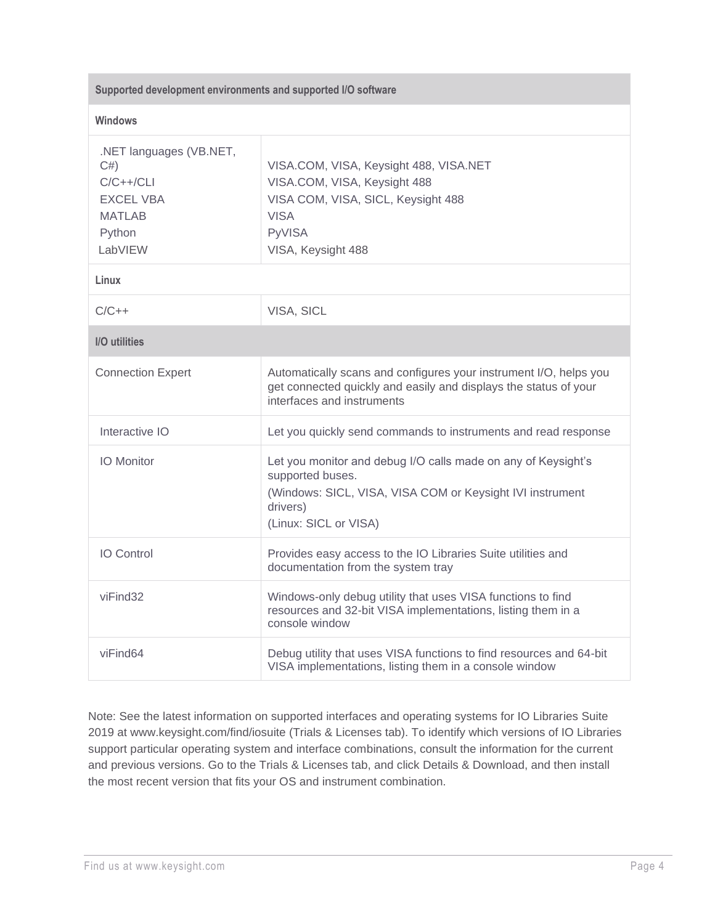| Supported development environments and supported I/O software                                          |                                                                                                                                                                                     |  |
|--------------------------------------------------------------------------------------------------------|-------------------------------------------------------------------------------------------------------------------------------------------------------------------------------------|--|
| <b>Windows</b>                                                                                         |                                                                                                                                                                                     |  |
| .NET languages (VB.NET,<br>C#<br>$C/C++/CLI$<br><b>EXCEL VBA</b><br><b>MATLAB</b><br>Python<br>LabVIEW | VISA.COM, VISA, Keysight 488, VISA.NET<br>VISA.COM, VISA, Keysight 488<br>VISA COM, VISA, SICL, Keysight 488<br><b>VISA</b><br><b>PyVISA</b><br>VISA, Keysight 488                  |  |
| Linux                                                                                                  |                                                                                                                                                                                     |  |
| $C/C++$                                                                                                | VISA, SICL                                                                                                                                                                          |  |
| I/O utilities                                                                                          |                                                                                                                                                                                     |  |
| <b>Connection Expert</b>                                                                               | Automatically scans and configures your instrument I/O, helps you<br>get connected quickly and easily and displays the status of your<br>interfaces and instruments                 |  |
| Interactive IO                                                                                         | Let you quickly send commands to instruments and read response                                                                                                                      |  |
| <b>IO</b> Monitor                                                                                      | Let you monitor and debug I/O calls made on any of Keysight's<br>supported buses.<br>(Windows: SICL, VISA, VISA COM or Keysight IVI instrument<br>drivers)<br>(Linux: SICL or VISA) |  |
| <b>IO Control</b>                                                                                      | Provides easy access to the IO Libraries Suite utilities and<br>documentation from the system tray                                                                                  |  |
| viFind32                                                                                               | Windows-only debug utility that uses VISA functions to find<br>resources and 32-bit VISA implementations, listing them in a<br>console window                                       |  |
| viFind64                                                                                               | Debug utility that uses VISA functions to find resources and 64-bit<br>VISA implementations, listing them in a console window                                                       |  |

Note: See the latest information on supported interfaces and operating systems for IO Libraries Suite 2019 at www.keysight.com/find/iosuite (Trials & Licenses tab). To identify which versions of IO Libraries support particular operating system and interface combinations, consult the information for the current and previous versions. Go to the Trials & Licenses tab, and click Details & Download, and then install the most recent version that fits your OS and instrument combination.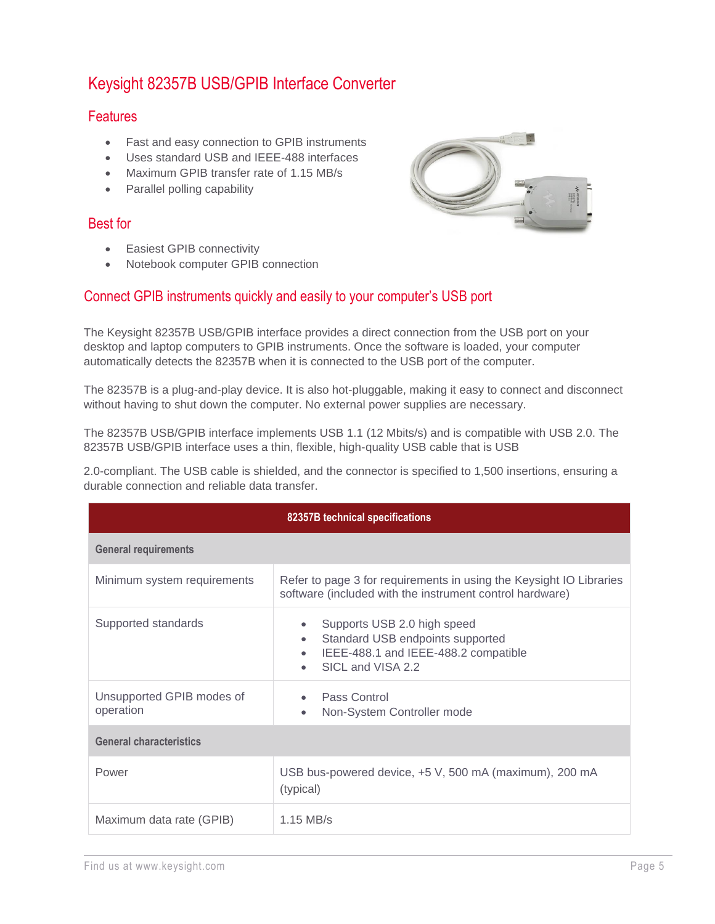### Keysight 82357B USB/GPIB Interface Converter

#### **Features**

- Fast and easy connection to GPIB instruments
- Uses standard USB and IEEE-488 interfaces
- Maximum GPIB transfer rate of 1.15 MB/s
- Parallel polling capability

#### Best for

- Easiest GPIB connectivity
- Notebook computer GPIB connection

#### Connect GPIB instruments quickly and easily to your computer's USB port

The Keysight 82357B USB/GPIB interface provides a direct connection from the USB port on your desktop and laptop computers to GPIB instruments. Once the software is loaded, your computer automatically detects the 82357B when it is connected to the USB port of the computer.

The 82357B is a plug-and-play device. It is also hot-pluggable, making it easy to connect and disconnect without having to shut down the computer. No external power supplies are necessary.

The 82357B USB/GPIB interface implements USB 1.1 (12 Mbits/s) and is compatible with USB 2.0. The 82357B USB/GPIB interface uses a thin, flexible, high-quality USB cable that is USB

2.0-compliant. The USB cable is shielded, and the connector is specified to 1,500 insertions, ensuring a durable connection and reliable data transfer.

| 82357B technical specifications        |                                                                                                                                           |  |  |
|----------------------------------------|-------------------------------------------------------------------------------------------------------------------------------------------|--|--|
| <b>General requirements</b>            |                                                                                                                                           |  |  |
| Minimum system requirements            | Refer to page 3 for requirements in using the Keysight IO Libraries<br>software (included with the instrument control hardware)           |  |  |
| Supported standards                    | Supports USB 2.0 high speed<br>Standard USB endpoints supported<br>$\bullet$<br>IEEE-488.1 and IEEE-488.2 compatible<br>SICL and VISA 2.2 |  |  |
| Unsupported GPIB modes of<br>operation | Pass Control<br>Non-System Controller mode<br>$\bullet$                                                                                   |  |  |
| <b>General characteristics</b>         |                                                                                                                                           |  |  |
| Power                                  | USB bus-powered device, +5 V, 500 mA (maximum), 200 mA<br>(typical)                                                                       |  |  |
| Maximum data rate (GPIB)               | $1.15$ MB/s                                                                                                                               |  |  |

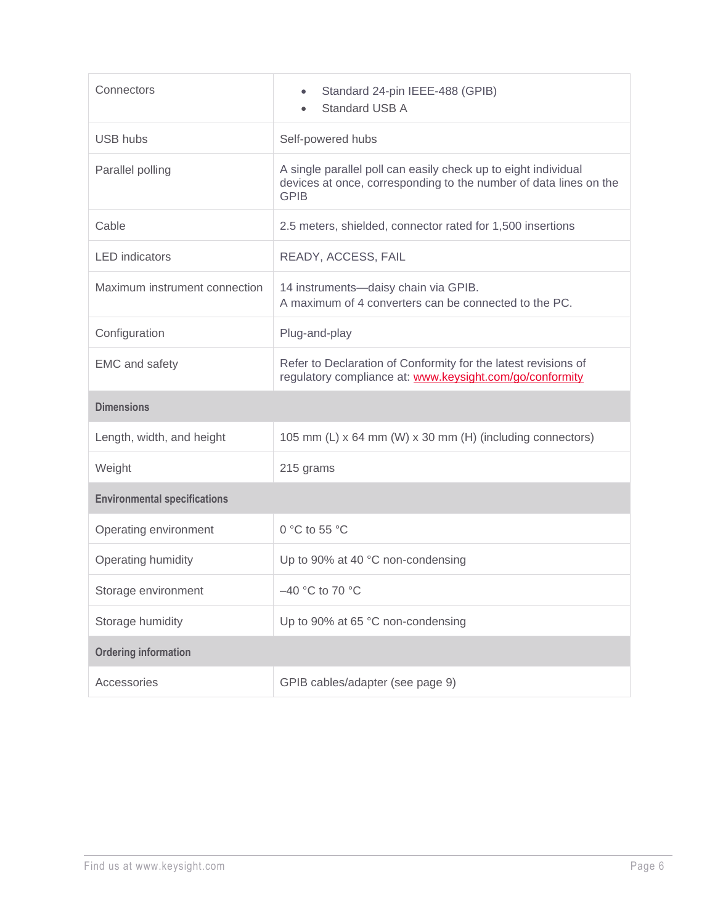| Connectors                          | Standard 24-pin IEEE-488 (GPIB)<br><b>Standard USB A</b>                                                                                           |  |  |
|-------------------------------------|----------------------------------------------------------------------------------------------------------------------------------------------------|--|--|
| <b>USB hubs</b>                     | Self-powered hubs                                                                                                                                  |  |  |
| Parallel polling                    | A single parallel poll can easily check up to eight individual<br>devices at once, corresponding to the number of data lines on the<br><b>GPIB</b> |  |  |
| Cable                               | 2.5 meters, shielded, connector rated for 1,500 insertions                                                                                         |  |  |
| <b>LED</b> indicators               | READY, ACCESS, FAIL                                                                                                                                |  |  |
| Maximum instrument connection       | 14 instruments-daisy chain via GPIB.<br>A maximum of 4 converters can be connected to the PC.                                                      |  |  |
| Configuration                       | Plug-and-play                                                                                                                                      |  |  |
| <b>EMC</b> and safety               | Refer to Declaration of Conformity for the latest revisions of<br>regulatory compliance at: www.keysight.com/go/conformity                         |  |  |
| <b>Dimensions</b>                   |                                                                                                                                                    |  |  |
| Length, width, and height           | 105 mm (L) x 64 mm (W) x 30 mm (H) (including connectors)                                                                                          |  |  |
| Weight                              | 215 grams                                                                                                                                          |  |  |
| <b>Environmental specifications</b> |                                                                                                                                                    |  |  |
| Operating environment               | 0 °C to 55 °C                                                                                                                                      |  |  |
| Operating humidity                  | Up to 90% at 40 °C non-condensing                                                                                                                  |  |  |
| Storage environment                 | -40 °C to 70 °C                                                                                                                                    |  |  |
| Storage humidity                    | Up to 90% at 65 °C non-condensing                                                                                                                  |  |  |
| <b>Ordering information</b>         |                                                                                                                                                    |  |  |
| Accessories                         | GPIB cables/adapter (see page 9)                                                                                                                   |  |  |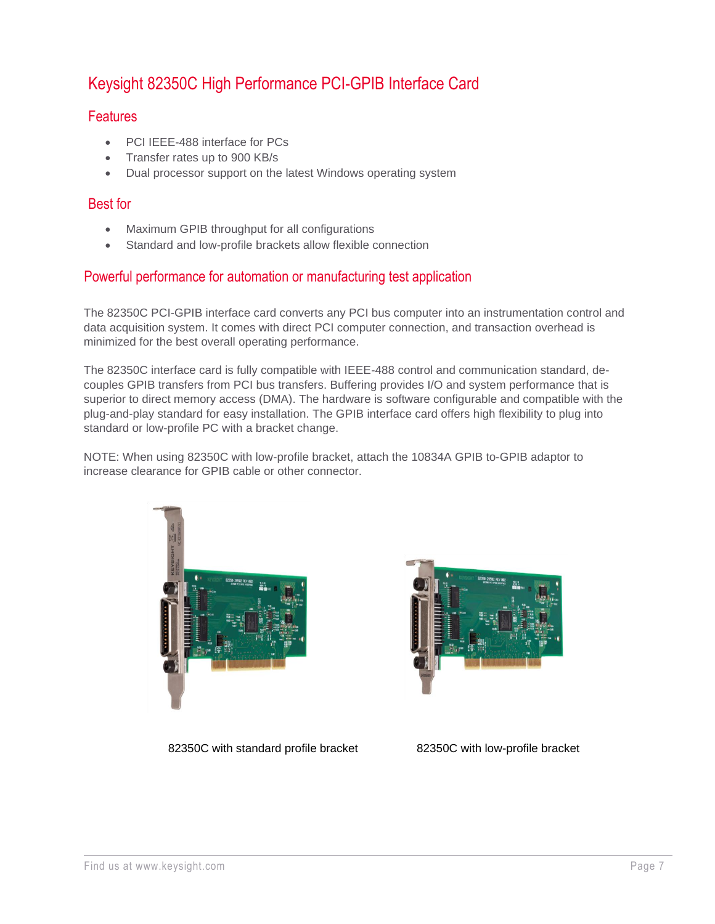### Keysight 82350C High Performance PCI-GPIB Interface Card

#### **Features**

- PCI IEEE-488 interface for PCs
- Transfer rates up to 900 KB/s
- Dual processor support on the latest Windows operating system

#### Best for

- Maximum GPIB throughput for all configurations
- Standard and low-profile brackets allow flexible connection

#### Powerful performance for automation or manufacturing test application

The 82350C PCI-GPIB interface card converts any PCI bus computer into an instrumentation control and data acquisition system. It comes with direct PCI computer connection, and transaction overhead is minimized for the best overall operating performance.

The 82350C interface card is fully compatible with IEEE-488 control and communication standard, decouples GPIB transfers from PCI bus transfers. Buffering provides I/O and system performance that is superior to direct memory access (DMA). The hardware is software configurable and compatible with the plug-and-play standard for easy installation. The GPIB interface card offers high flexibility to plug into standard or low-profile PC with a bracket change.

NOTE: When using 82350C with low-profile bracket, attach the 10834A GPIB to-GPIB adaptor to increase clearance for GPIB cable or other connector.





82350C with standard profile bracket 82350C with low-profile bracket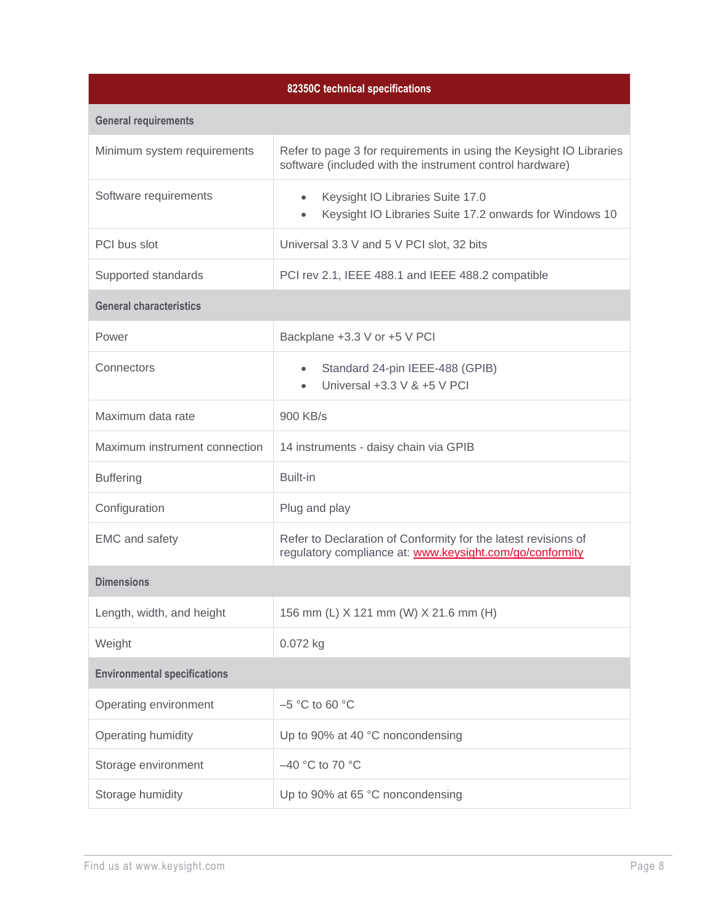| 82350C technical specifications     |                                                                                                                                 |  |  |
|-------------------------------------|---------------------------------------------------------------------------------------------------------------------------------|--|--|
| <b>General requirements</b>         |                                                                                                                                 |  |  |
| Minimum system requirements         | Refer to page 3 for requirements in using the Keysight IO Libraries<br>software (included with the instrument control hardware) |  |  |
| Software requirements               | Keysight IO Libraries Suite 17.0<br>$\bullet$<br>Keysight IO Libraries Suite 17.2 onwards for Windows 10<br>$\bullet$           |  |  |
| PCI bus slot                        | Universal 3.3 V and 5 V PCI slot, 32 bits                                                                                       |  |  |
| Supported standards                 | PCI rev 2.1, IEEE 488.1 and IEEE 488.2 compatible                                                                               |  |  |
| <b>General characteristics</b>      |                                                                                                                                 |  |  |
| Power                               | Backplane +3.3 V or +5 V PCI                                                                                                    |  |  |
| Connectors                          | Standard 24-pin IEEE-488 (GPIB)<br>$\bullet$<br>Universal $+3.3$ V & $+5$ V PCI                                                 |  |  |
| Maximum data rate                   | 900 KB/s                                                                                                                        |  |  |
| Maximum instrument connection       | 14 instruments - daisy chain via GPIB                                                                                           |  |  |
| <b>Buffering</b>                    | Built-in                                                                                                                        |  |  |
| Configuration                       | Plug and play                                                                                                                   |  |  |
| <b>EMC</b> and safety               | Refer to Declaration of Conformity for the latest revisions of<br>regulatory compliance at: www.keysight.com/go/conformity      |  |  |
| <b>Dimensions</b>                   |                                                                                                                                 |  |  |
| Length, width, and height           | 156 mm (L) X 121 mm (W) X 21.6 mm (H)                                                                                           |  |  |
| Weight                              | 0.072 kg                                                                                                                        |  |  |
| <b>Environmental specifications</b> |                                                                                                                                 |  |  |
| Operating environment               | $-5$ °C to 60 °C                                                                                                                |  |  |
| Operating humidity                  | Up to 90% at 40 °C noncondensing                                                                                                |  |  |
| Storage environment                 | -40 °C to 70 °C                                                                                                                 |  |  |
| Storage humidity                    | Up to 90% at 65 °C noncondensing                                                                                                |  |  |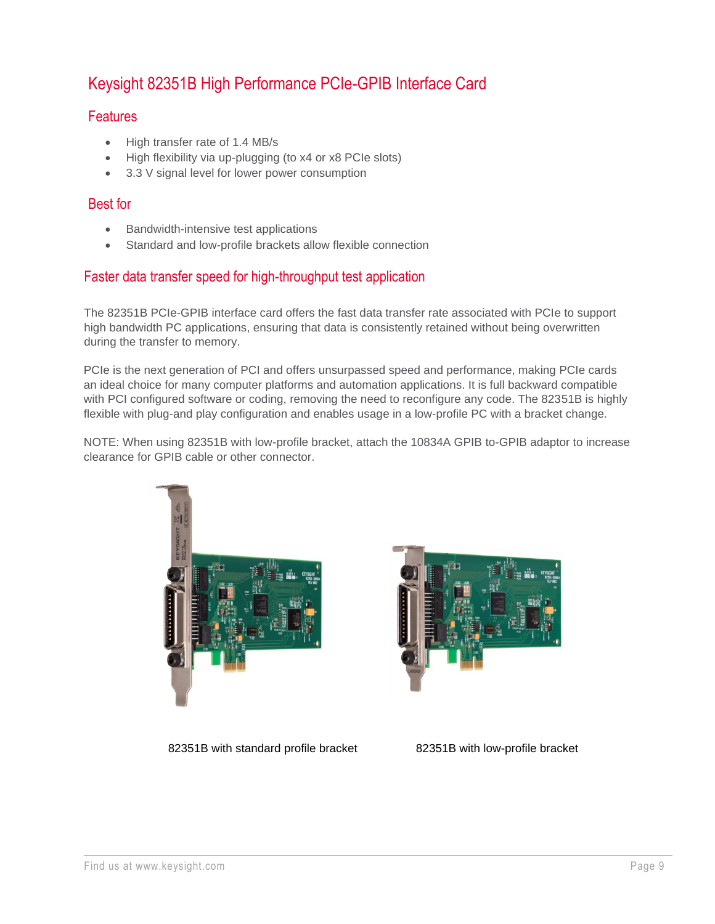### Keysight 82351B High Performance PCIe-GPIB Interface Card

#### **Features**

- High transfer rate of 1.4 MB/s
- High flexibility via up-plugging (to x4 or x8 PCIe slots)
- 3.3 V signal level for lower power consumption

#### Best for

- Bandwidth-intensive test applications
- Standard and low-profile brackets allow flexible connection

#### Faster data transfer speed for high-throughput test application

The 82351B PCIe-GPIB interface card offers the fast data transfer rate associated with PCIe to support high bandwidth PC applications, ensuring that data is consistently retained without being overwritten during the transfer to memory.

PCIe is the next generation of PCI and offers unsurpassed speed and performance, making PCIe cards an ideal choice for many computer platforms and automation applications. It is full backward compatible with PCI configured software or coding, removing the need to reconfigure any code. The 82351B is highly flexible with plug-and play configuration and enables usage in a low-profile PC with a bracket change.

NOTE: When using 82351B with low-profile bracket, attach the 10834A GPIB to-GPIB adaptor to increase clearance for GPIB cable or other connector.





82351B with standard profile bracket 82351B with low-profile bracket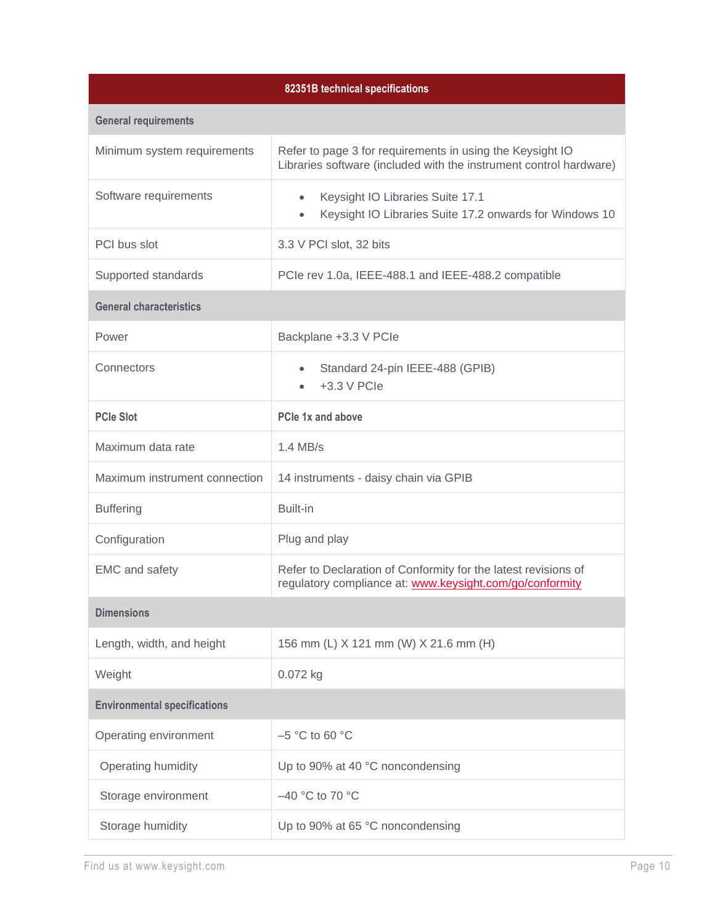| 82351B technical specifications     |                                                                                                                                 |  |  |
|-------------------------------------|---------------------------------------------------------------------------------------------------------------------------------|--|--|
| <b>General requirements</b>         |                                                                                                                                 |  |  |
| Minimum system requirements         | Refer to page 3 for requirements in using the Keysight IO<br>Libraries software (included with the instrument control hardware) |  |  |
| Software requirements               | Keysight IO Libraries Suite 17.1<br>$\bullet$<br>Keysight IO Libraries Suite 17.2 onwards for Windows 10<br>$\bullet$           |  |  |
| PCI bus slot                        | 3.3 V PCI slot, 32 bits                                                                                                         |  |  |
| Supported standards                 | PCIe rev 1.0a, IEEE-488.1 and IEEE-488.2 compatible                                                                             |  |  |
| <b>General characteristics</b>      |                                                                                                                                 |  |  |
| Power                               | Backplane +3.3 V PCle                                                                                                           |  |  |
| Connectors                          | Standard 24-pin IEEE-488 (GPIB)<br>$\bullet$<br>+3.3 V PCIe                                                                     |  |  |
| <b>PCIe Slot</b>                    | PCIe 1x and above                                                                                                               |  |  |
| Maximum data rate                   | $1.4$ MB/s                                                                                                                      |  |  |
| Maximum instrument connection       | 14 instruments - daisy chain via GPIB                                                                                           |  |  |
| <b>Buffering</b>                    | Built-in                                                                                                                        |  |  |
| Configuration                       | Plug and play                                                                                                                   |  |  |
| <b>EMC</b> and safety               | Refer to Declaration of Conformity for the latest revisions of<br>regulatory compliance at: www.keysight.com/go/conformity      |  |  |
| <b>Dimensions</b>                   |                                                                                                                                 |  |  |
| Length, width, and height           | 156 mm (L) X 121 mm (W) X 21.6 mm (H)                                                                                           |  |  |
| Weight                              | 0.072 kg                                                                                                                        |  |  |
| <b>Environmental specifications</b> |                                                                                                                                 |  |  |
| Operating environment               | $-5$ °C to 60 °C                                                                                                                |  |  |
| Operating humidity                  | Up to 90% at 40 °C noncondensing                                                                                                |  |  |
| Storage environment                 | $-40$ °C to 70 °C                                                                                                               |  |  |
| Storage humidity                    | Up to 90% at 65 °C noncondensing                                                                                                |  |  |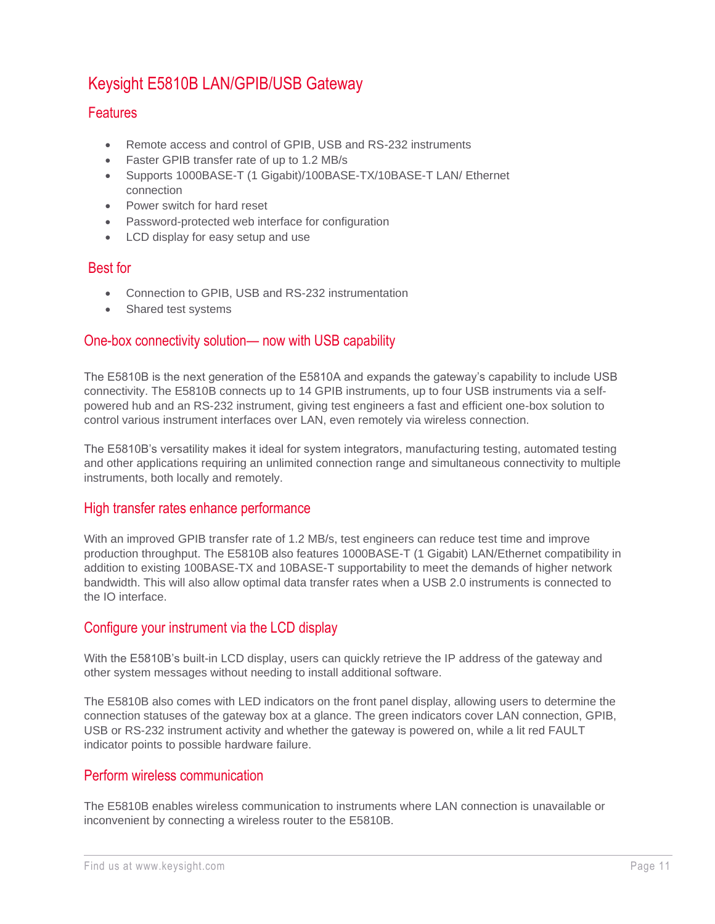### Keysight E5810B LAN/GPIB/USB Gateway

#### **Features**

- Remote access and control of GPIB, USB and RS-232 instruments
- Faster GPIB transfer rate of up to 1.2 MB/s
- Supports 1000BASE-T (1 Gigabit)/100BASE-TX/10BASE-T LAN/ Ethernet connection
- Power switch for hard reset
- Password-protected web interface for configuration
- LCD display for easy setup and use

#### Best for

- Connection to GPIB, USB and RS-232 instrumentation
- Shared test systems

#### One-box connectivity solution— now with USB capability

The E5810B is the next generation of the E5810A and expands the gateway's capability to include USB connectivity. The E5810B connects up to 14 GPIB instruments, up to four USB instruments via a selfpowered hub and an RS-232 instrument, giving test engineers a fast and efficient one-box solution to control various instrument interfaces over LAN, even remotely via wireless connection.

The E5810B's versatility makes it ideal for system integrators, manufacturing testing, automated testing and other applications requiring an unlimited connection range and simultaneous connectivity to multiple instruments, both locally and remotely.

#### High transfer rates enhance performance

With an improved GPIB transfer rate of 1.2 MB/s, test engineers can reduce test time and improve production throughput. The E5810B also features 1000BASE-T (1 Gigabit) LAN/Ethernet compatibility in addition to existing 100BASE-TX and 10BASE-T supportability to meet the demands of higher network bandwidth. This will also allow optimal data transfer rates when a USB 2.0 instruments is connected to the IO interface.

#### Configure your instrument via the LCD display

With the E5810B's built-in LCD display, users can quickly retrieve the IP address of the gateway and other system messages without needing to install additional software.

The E5810B also comes with LED indicators on the front panel display, allowing users to determine the connection statuses of the gateway box at a glance. The green indicators cover LAN connection, GPIB, USB or RS-232 instrument activity and whether the gateway is powered on, while a lit red FAULT indicator points to possible hardware failure.

#### Perform wireless communication

The E5810B enables wireless communication to instruments where LAN connection is unavailable or inconvenient by connecting a wireless router to the E5810B.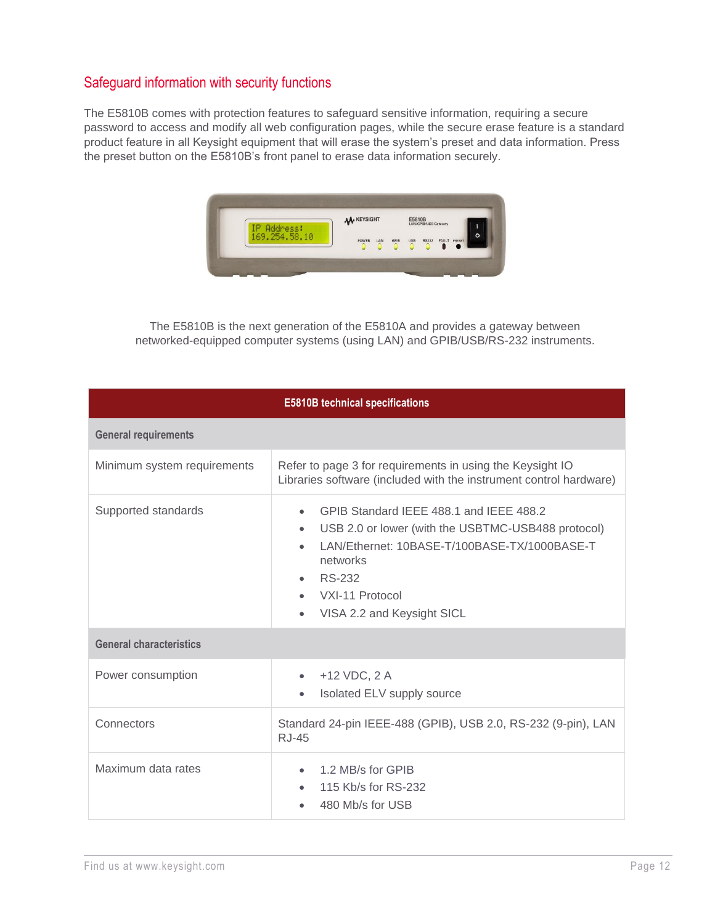#### Safeguard information with security functions

The E5810B comes with protection features to safeguard sensitive information, requiring a secure password to access and modify all web configuration pages, while the secure erase feature is a standard product feature in all Keysight equipment that will erase the system's preset and data information. Press the preset button on the E5810B's front panel to erase data information securely.



The E5810B is the next generation of the E5810A and provides a gateway between networked-equipped computer systems (using LAN) and GPIB/USB/RS-232 instruments.

| <b>E5810B technical specifications</b> |                                                                                                                                                                                                                                          |  |  |
|----------------------------------------|------------------------------------------------------------------------------------------------------------------------------------------------------------------------------------------------------------------------------------------|--|--|
| <b>General requirements</b>            |                                                                                                                                                                                                                                          |  |  |
| Minimum system requirements            | Refer to page 3 for requirements in using the Keysight IO<br>Libraries software (included with the instrument control hardware)                                                                                                          |  |  |
| Supported standards                    | GPIB Standard IEEE 488.1 and IEEE 488.2<br>USB 2.0 or lower (with the USBTMC-USB488 protocol)<br>$\bullet$<br>LAN/Ethernet: 10BASE-T/100BASE-TX/1000BASE-T<br>networks<br><b>RS-232</b><br>VXI-11 Protocol<br>VISA 2.2 and Keysight SICL |  |  |
| <b>General characteristics</b>         |                                                                                                                                                                                                                                          |  |  |
| Power consumption                      | +12 VDC, 2 A<br>Isolated ELV supply source                                                                                                                                                                                               |  |  |
| Connectors                             | Standard 24-pin IEEE-488 (GPIB), USB 2.0, RS-232 (9-pin), LAN<br><b>RJ-45</b>                                                                                                                                                            |  |  |
| Maximum data rates                     | 1.2 MB/s for GPIB<br>115 Kb/s for RS-232<br>480 Mb/s for USB                                                                                                                                                                             |  |  |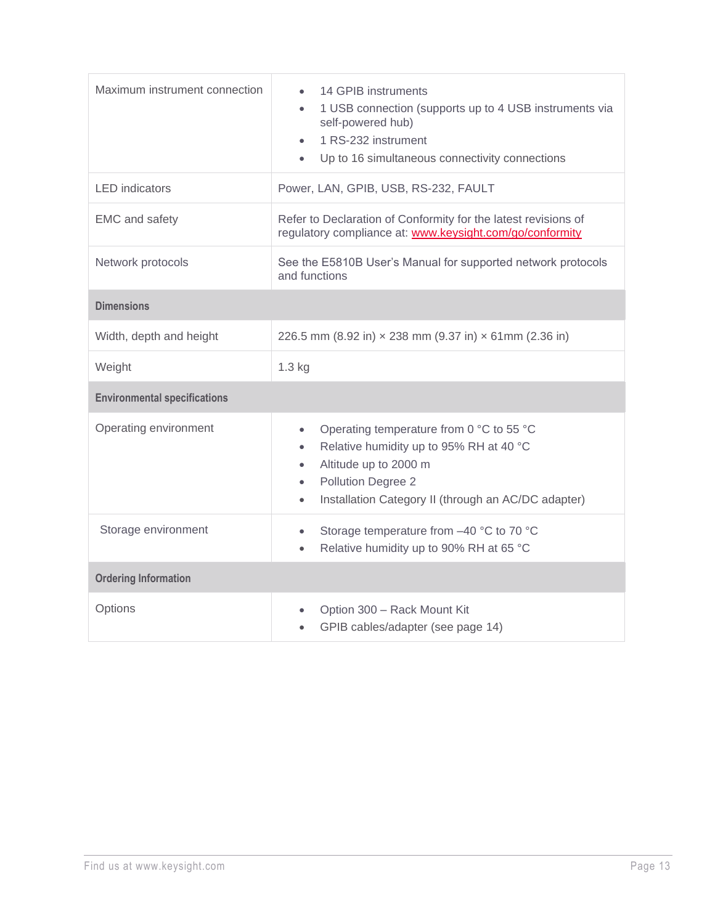| Maximum instrument connection       | 14 GPIB instruments<br>1 USB connection (supports up to 4 USB instruments via<br>$\bullet$<br>self-powered hub)<br>1 RS-232 instrument<br>$\bullet$<br>Up to 16 simultaneous connectivity connections                            |  |  |
|-------------------------------------|----------------------------------------------------------------------------------------------------------------------------------------------------------------------------------------------------------------------------------|--|--|
| <b>LED</b> indicators               | Power, LAN, GPIB, USB, RS-232, FAULT                                                                                                                                                                                             |  |  |
| EMC and safety                      | Refer to Declaration of Conformity for the latest revisions of<br>regulatory compliance at: www.keysight.com/go/conformity                                                                                                       |  |  |
| Network protocols                   | See the E5810B User's Manual for supported network protocols<br>and functions                                                                                                                                                    |  |  |
| <b>Dimensions</b>                   |                                                                                                                                                                                                                                  |  |  |
| Width, depth and height             | 226.5 mm (8.92 in) x 238 mm (9.37 in) x 61mm (2.36 in)                                                                                                                                                                           |  |  |
| Weight                              | 1.3 kg                                                                                                                                                                                                                           |  |  |
| <b>Environmental specifications</b> |                                                                                                                                                                                                                                  |  |  |
| Operating environment               | Operating temperature from 0 °C to 55 °C<br>$\bullet$<br>Relative humidity up to 95% RH at 40 °C<br>Altitude up to 2000 m<br>$\bullet$<br>Pollution Degree 2<br>$\bullet$<br>Installation Category II (through an AC/DC adapter) |  |  |
| Storage environment                 | Storage temperature from -40 °C to 70 °C<br>$\bullet$<br>Relative humidity up to 90% RH at 65 °C                                                                                                                                 |  |  |
| <b>Ordering Information</b>         |                                                                                                                                                                                                                                  |  |  |
| Options                             | Option 300 - Rack Mount Kit<br>GPIB cables/adapter (see page 14)                                                                                                                                                                 |  |  |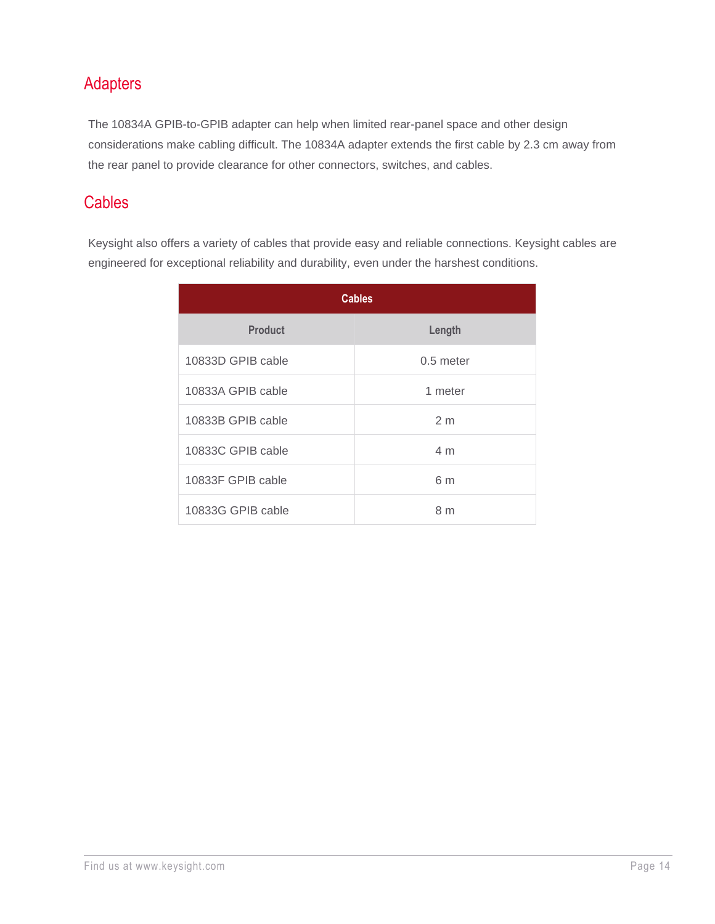### Adapters

The 10834A GPIB-to-GPIB adapter can help when limited rear-panel space and other design considerations make cabling difficult. The 10834A adapter extends the first cable by 2.3 cm away from the rear panel to provide clearance for other connectors, switches, and cables.

### **Cables**

Keysight also offers a variety of cables that provide easy and reliable connections. Keysight cables are engineered for exceptional reliability and durability, even under the harshest conditions.

| <b>Cables</b>     |                |  |  |
|-------------------|----------------|--|--|
| <b>Product</b>    | Length         |  |  |
| 10833D GPIB cable | $0.5$ meter    |  |  |
| 10833A GPIB cable | 1 meter        |  |  |
| 10833B GPIB cable | 2 <sub>m</sub> |  |  |
| 10833C GPIB cable | 4 <sub>m</sub> |  |  |
| 10833F GPIB cable | 6 m            |  |  |
| 10833G GPIB cable | 8 <sub>m</sub> |  |  |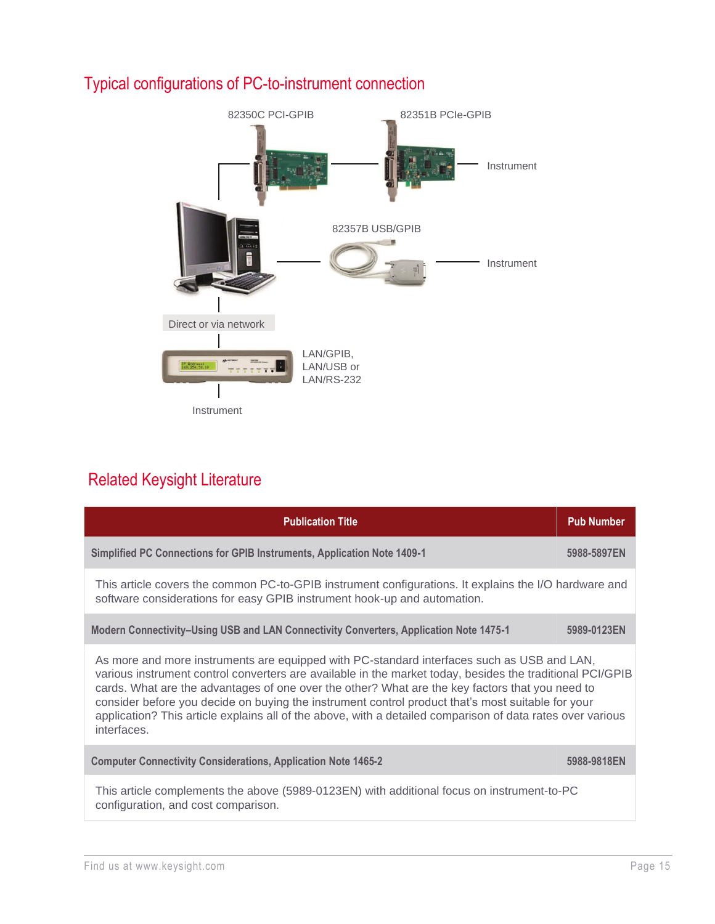

### Typical configurations of PC-to-instrument connection

### Related Keysight Literature

| <b>Publication Title</b>                                                                                                                                                                                                                                                                                                                                                                                                                                                                                                                     | <b>Pub Number</b> |  |  |
|----------------------------------------------------------------------------------------------------------------------------------------------------------------------------------------------------------------------------------------------------------------------------------------------------------------------------------------------------------------------------------------------------------------------------------------------------------------------------------------------------------------------------------------------|-------------------|--|--|
| Simplified PC Connections for GPIB Instruments, Application Note 1409-1                                                                                                                                                                                                                                                                                                                                                                                                                                                                      | 5988-5897EN       |  |  |
| This article covers the common PC-to-GPIB instrument configurations. It explains the I/O hardware and<br>software considerations for easy GPIB instrument hook-up and automation.                                                                                                                                                                                                                                                                                                                                                            |                   |  |  |
| Modern Connectivity-Using USB and LAN Connectivity Converters, Application Note 1475-1                                                                                                                                                                                                                                                                                                                                                                                                                                                       | 5989-0123EN       |  |  |
| As more and more instruments are equipped with PC-standard interfaces such as USB and LAN,<br>various instrument control converters are available in the market today, besides the traditional PCI/GPIB<br>cards. What are the advantages of one over the other? What are the key factors that you need to<br>consider before you decide on buying the instrument control product that's most suitable for your<br>application? This article explains all of the above, with a detailed comparison of data rates over various<br>interfaces. |                   |  |  |
| <b>Computer Connectivity Considerations, Application Note 1465-2</b>                                                                                                                                                                                                                                                                                                                                                                                                                                                                         | 5988-9818EN       |  |  |
| This article complements the above (5989-0123EN) with additional focus on instrument-to-PC<br>configuration, and cost comparison.                                                                                                                                                                                                                                                                                                                                                                                                            |                   |  |  |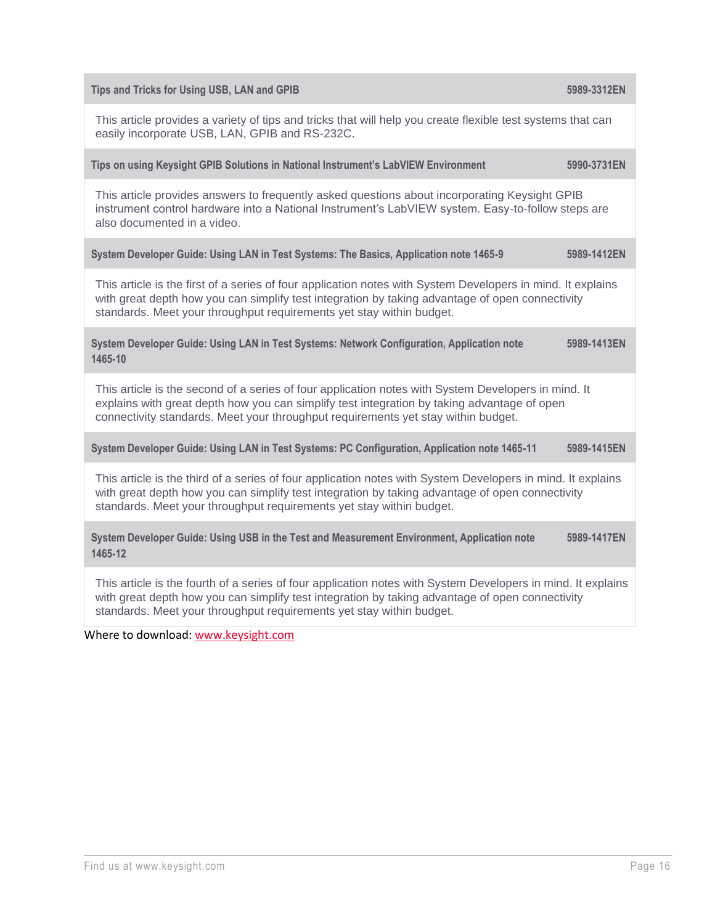| Tips and Tricks for Using USB, LAN and GPIB                                                                                                                                                                                                                                             | 5989-3312EN |  |  |
|-----------------------------------------------------------------------------------------------------------------------------------------------------------------------------------------------------------------------------------------------------------------------------------------|-------------|--|--|
| This article provides a variety of tips and tricks that will help you create flexible test systems that can<br>easily incorporate USB, LAN, GPIB and RS-232C.                                                                                                                           |             |  |  |
| Tips on using Keysight GPIB Solutions in National Instrument's LabVIEW Environment                                                                                                                                                                                                      | 5990-3731EN |  |  |
| This article provides answers to frequently asked questions about incorporating Keysight GPIB<br>instrument control hardware into a National Instrument's LabVIEW system. Easy-to-follow steps are<br>also documented in a video.                                                       |             |  |  |
| System Developer Guide: Using LAN in Test Systems: The Basics, Application note 1465-9                                                                                                                                                                                                  | 5989-1412EN |  |  |
| This article is the first of a series of four application notes with System Developers in mind. It explains<br>with great depth how you can simplify test integration by taking advantage of open connectivity<br>standards. Meet your throughput requirements yet stay within budget.  |             |  |  |
| System Developer Guide: Using LAN in Test Systems: Network Configuration, Application note<br>1465-10                                                                                                                                                                                   | 5989-1413EN |  |  |
| This article is the second of a series of four application notes with System Developers in mind. It<br>explains with great depth how you can simplify test integration by taking advantage of open<br>connectivity standards. Meet your throughput requirements yet stay within budget. |             |  |  |
| System Developer Guide: Using LAN in Test Systems: PC Configuration, Application note 1465-11                                                                                                                                                                                           | 5989-1415EN |  |  |
| This article is the third of a series of four application notes with System Developers in mind. It explains<br>with great depth how you can simplify test integration by taking advantage of open connectivity<br>standards. Meet your throughput requirements yet stay within budget.  |             |  |  |
| System Developer Guide: Using USB in the Test and Measurement Environment, Application note<br>1465-12                                                                                                                                                                                  | 5989-1417EN |  |  |
| This article is the fourth of a series of four application notes with System Developers in mind. It explains<br>with great depth how you can simplify test integration by taking advantage of open connectivity<br>standards. Meet your throughput requirements yet stay within budget. |             |  |  |

Where to download: [www.keysight.com](http://www.keysight.com/)